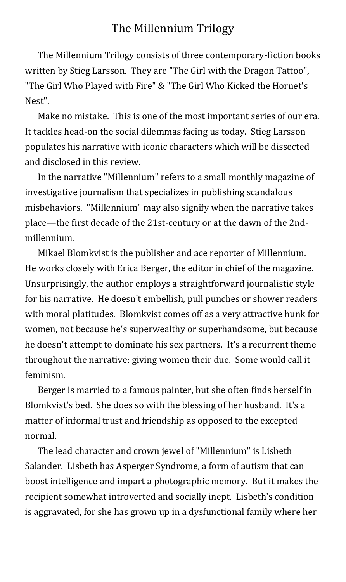## The Millennium Trilogy

The Millennium Trilogy consists of three contemporary-fiction books written by Stieg Larsson. They are "The Girl with the Dragon Tattoo", "The Girl Who Played with Fire" & "The Girl Who Kicked the Hornet's Nest".

Make no mistake. This is one of the most important series of our era. It tackles head-on the social dilemmas facing us today. Stieg Larsson populates his narrative with iconic characters which will be dissected and disclosed in this review.

In the narrative "Millennium" refers to a small monthly magazine of investigative journalism that specializes in publishing scandalous misbehaviors. "Millennium" may also signify when the narrative takes place—the first decade of the 21st-century or at the dawn of the 2ndmillennium.

Mikael Blomkvist is the publisher and ace reporter of Millennium. He works closely with Erica Berger, the editor in chief of the magazine. Unsurprisingly, the author employs a straightforward journalistic style for his narrative. He doesn't embellish, pull punches or shower readers with moral platitudes. Blomkvist comes off as a very attractive hunk for women, not because he's superwealthy or superhandsome, but because he doesn't attempt to dominate his sex partners. It's a recurrent theme throughout the narrative: giving women their due. Some would call it feminism.

Berger is married to a famous painter, but she often finds herself in Blomkvist's bed. She does so with the blessing of her husband. It's a matter of informal trust and friendship as opposed to the excepted normal.

The lead character and crown jewel of "Millennium" is Lisbeth Salander. Lisbeth has Asperger Syndrome, a form of autism that can boost intelligence and impart a photographic memory. But it makes the recipient somewhat introverted and socially inept. Lisbeth's condition is aggravated, for she has grown up in a dysfunctional family where her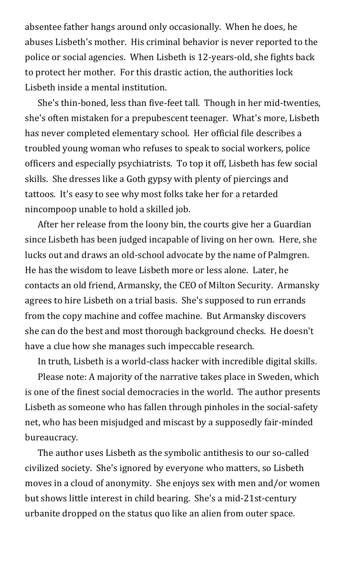absentee father hangs around only occasionally. When he does, he abuses Lisbeth's mother. His criminal behavior is never reported to the police or social agencies. When Lisbeth is 12-years-old, she fights back to protect her mother. For this drastic action, the authorities lock Lisbeth inside a mental institution.

She's thin-boned, less than five-feet tall. Though in her mid-twenties, she's often mistaken for a prepubescent teenager. What's more, Lisbeth has never completed elementary school. Her official file describes a troubled young woman who refuses to speak to social workers, police officers and especially psychiatrists. To top it off, Lisbeth has few social skills. She dresses like a Goth gypsy with plenty of piercings and tattoos. It's easy to see why most folks take her for a retarded nincompoop unable to hold a skilled job.

After her release from the loony bin, the courts give her a Guardian since Lisbeth has been judged incapable of living on her own. Here, she lucks out and draws an old-school advocate by the name of Palmgren. He has the wisdom to leave Lisbeth more or less alone. Later, he contacts an old friend, Armansky, the CEO of Milton Security. Armansky agrees to hire Lisbeth on a trial basis. She's supposed to run errands from the copy machine and coffee machine. But Armansky discovers she can do the best and most thorough background checks. He doesn't have a clue how she manages such impeccable research.

In truth, Lisbeth is a world-class hacker with incredible digital skills.

Please note: A majority of the narrative takes place in Sweden, which is one of the finest social democracies in the world. The author presents Lisbeth as someone who has fallen through pinholes in the social-safety net, who has been misjudged and miscast by a supposedly fair-minded bureaucracy.

The author uses Lisbeth as the symbolic antithesis to our so-called civilized society. She's ignored by everyone who matters, so Lisbeth moves in a cloud of anonymity. She enjoys sex with men and/or women but shows little interest in child bearing. She's a mid-21st-century urbanite dropped on the status quo like an alien from outer space.